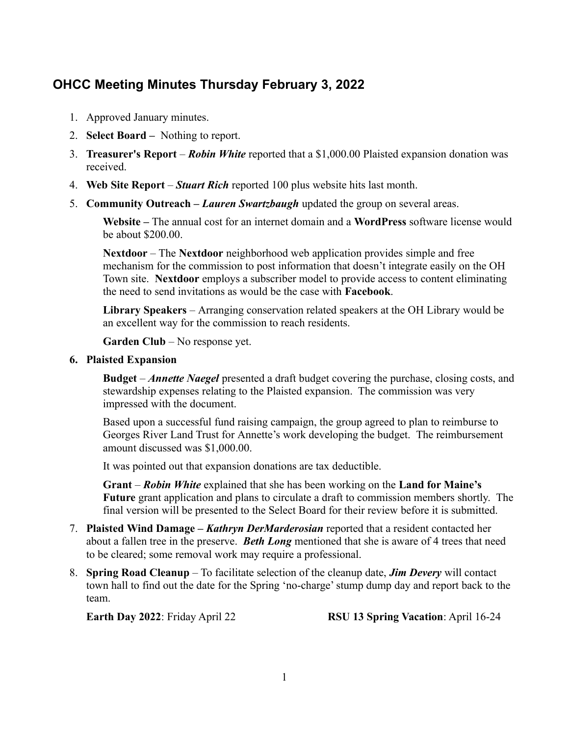## **OHCC Meeting Minutes Thursday February 3, 2022**

- 1. Approved January minutes.
- 2. **Select Board** Nothing to report.
- 3. **Treasurer's Report** *Robin White* reported that a \$1,000.00 Plaisted expansion donation was received.
- 4. **Web Site Report** *Stuart Rich* reported 100 plus website hits last month.
- 5. **Community Outreach** *Lauren Swartzbaugh* updated the group on several areas.

**Website –** The annual cost for an internet domain and a **WordPress** software license would be about \$200.00.

**Nextdoor** – The **Nextdoor** neighborhood web application provides simple and free mechanism for the commission to post information that doesn't integrate easily on the OH Town site. **Nextdoor** employs a subscriber model to provide access to content eliminating the need to send invitations as would be the case with **Facebook**.

**Library Speakers** – Arranging conservation related speakers at the OH Library would be an excellent way for the commission to reach residents.

**Garden Club** – No response yet.

## **6. Plaisted Expansion**

**Budget** – *Annette Naegel* presented a draft budget covering the purchase, closing costs, and stewardship expenses relating to the Plaisted expansion. The commission was very impressed with the document.

Based upon a successful fund raising campaign, the group agreed to plan to reimburse to Georges River Land Trust for Annette's work developing the budget. The reimbursement amount discussed was \$1,000.00.

It was pointed out that expansion donations are tax deductible.

**Grant** – *Robin White* explained that she has been working on the **Land for Maine's Future** grant application and plans to circulate a draft to commission members shortly. The final version will be presented to the Select Board for their review before it is submitted.

- 7. **Plaisted Wind Damage** *Kathryn DerMarderosian* reported that a resident contacted her about a fallen tree in the preserve. *Beth Long* mentioned that she is aware of 4 trees that need to be cleared; some removal work may require a professional.
- 8. **Spring Road Cleanup** To facilitate selection of the cleanup date, *Jim Devery* will contact town hall to find out the date for the Spring 'no-charge' stump dump day and report back to the team.

**Earth Day 2022**: Friday April 22 **RSU 13 Spring Vacation**: April 16-24